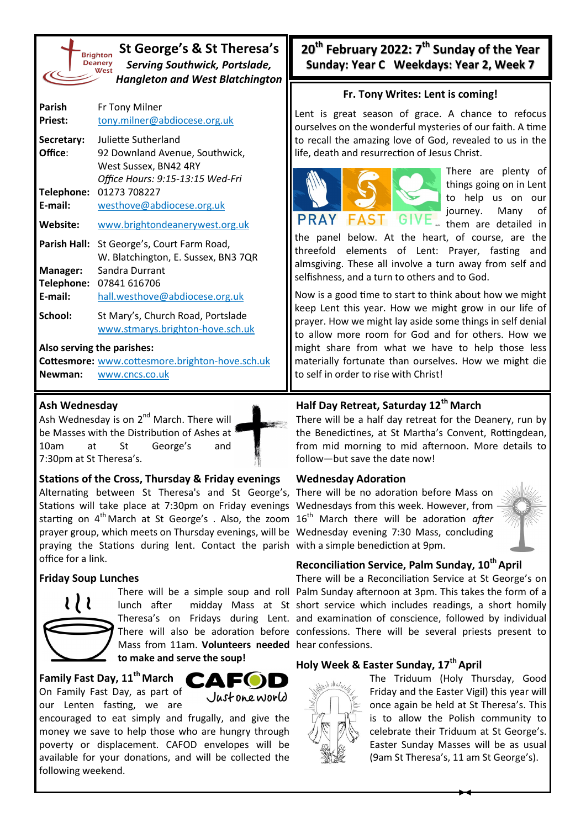

**St George's & St Theresa's** *Serving Southwick, Portslade, Hangleton and West Blatchington*

| Parish          | Fr Tony Milner                      |
|-----------------|-------------------------------------|
| <b>Priest:</b>  | tony.milner@abdiocese.org.uk        |
| Secretary:      | Juliette Sutherland                 |
| Office:         | 92 Downland Avenue, Southwick,      |
|                 | West Sussex, BN42 4RY               |
|                 | Office Hours: 9:15-13:15 Wed-Fri    |
| Telephone:      | 01273 708227                        |
| E-mail:         | westhove@abdiocese.org.uk           |
| Website:        | www.brightondeanerywest.org.uk      |
| Parish Hall:    | St George's, Court Farm Road,       |
|                 | W. Blatchington, E. Sussex, BN3 7QR |
| <b>Manager:</b> | Sandra Durrant                      |
| Telephone:      | 07841 616706                        |
| E-mail:         | hall.westhove@abdiocese.org.uk      |
| School:         | St Mary's, Church Road, Portslade   |
|                 | www.stmarys.brighton-hove.sch.uk    |

**Also serving the parishes:**

**Cottesmore:** [www.cottesmore.brighton](http://www.cottesmore.brighton-hove.sch.uk)-hove.sch.uk **Newman:** [www.cncs.co.uk](https://www.cncs.co.uk/)

#### **Ash Wednesday**

Ash Wednesday is on  $2^{nd}$  March. There will be Masses with the Distribution of Ashes at 10am at St George's and 7:30pm at St Theresa's.



#### **Stations of the Cross, Thursday & Friday evenings**

Alternating between St Theresa's and St George's, There will be no adoration before Mass on Stations will take place at 7:30pm on Friday evenings Wednesdays from this week. However, from starting on 4<sup>th</sup>March at St George's . Also, the zoom 16<sup>th</sup> March there will be adoration *after* prayer group, which meets on Thursday evenings, will be Wednesday evening 7:30 Mass, concluding praying the Stations during lent. Contact the parish with a simple benediction at 9pm. office for a link.

### **Friday Soup Lunches**



Mass from 11am. **Volunteers needed**  hear confessions. **to make and serve the soup!**

# **Family Fast Day, 11th March**

On Family Fast Day, as part of our Lenten fasting, we are



encouraged to eat simply and frugally, and give the money we save to help those who are hungry through poverty or displacement. CAFOD envelopes will be available for your donations, and will be collected the following weekend.

**20th February 2022: 7th Sunday of the Year Sunday: Year C Weekdays: Year 2, Week 7**

#### **Fr. Tony Writes: Lent is coming!**

Lent is great season of grace. A chance to refocus ourselves on the wonderful mysteries of our faith. A time to recall the amazing love of God, revealed to us in the life, death and resurrection of Jesus Christ.



There are plenty of things going on in Lent to help us on our journey. Many of them are detailed in

the panel below. At the heart, of course, are the threefold elements of Lent: Prayer, fasting and almsgiving. These all involve a turn away from self and selfishness, and a turn to others and to God.

Now is a good time to start to think about how we might keep Lent this year. How we might grow in our life of prayer. How we might lay aside some things in self denial to allow more room for God and for others. How we might share from what we have to help those less materially fortunate than ourselves. How we might die to self in order to rise with Christ!

## **Half Day Retreat, Saturday 12th March**

There will be a half day retreat for the Deanery, run by the Benedictines, at St Martha's Convent, Rottingdean, from mid morning to mid afternoon. More details to follow—but save the date now!

### **Wednesday Adoration**



### **Reconciliation Service, Palm Sunday, 10th April**

There will be a simple soup and roll Palm Sunday afternoon at 3pm. This takes the form of a lunch after midday Mass at St short service which includes readings, a short homily Theresa's on Fridays during Lent. and examination of conscience, followed by individual There will also be adoration before confessions. There will be several priests present to There will be a Reconciliation Service at St George's on

## **Holy Week & Easter Sunday, 17th April**



The Triduum (Holy Thursday, Good Friday and the Easter Vigil) this year will once again be held at St Theresa's. This is to allow the Polish community to celebrate their Triduum at St George's. Easter Sunday Masses will be as usual (9am St Theresa's, 11 am St George's).